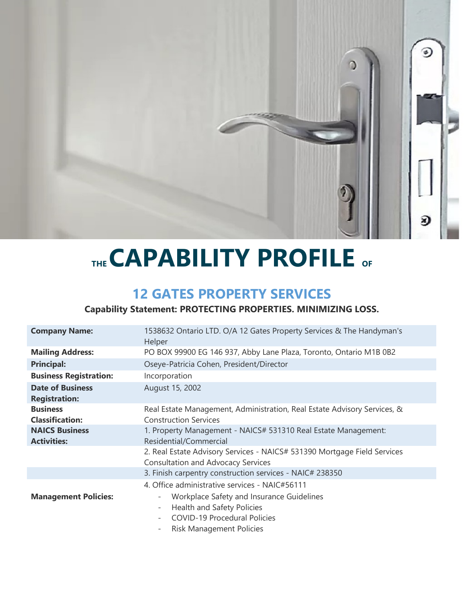

# **THE CAPABILITY PROFILE OF**

## **12 GATES PROPERTY SERVICES**

### **Capability Statement: PROTECTING PROPERTIES. MINIMIZING LOSS.**

| <b>Company Name:</b>                            | 1538632 Ontario LTD. O/A 12 Gates Property Services & The Handyman's<br>Helper                                                                                                   |  |
|-------------------------------------------------|----------------------------------------------------------------------------------------------------------------------------------------------------------------------------------|--|
| <b>Mailing Address:</b>                         | PO BOX 99900 EG 146 937, Abby Lane Plaza, Toronto, Ontario M1B 0B2                                                                                                               |  |
| <b>Principal:</b>                               | Oseye-Patricia Cohen, President/Director                                                                                                                                         |  |
| <b>Business Registration:</b>                   | Incorporation                                                                                                                                                                    |  |
| <b>Date of Business</b><br><b>Registration:</b> | August 15, 2002                                                                                                                                                                  |  |
| <b>Business</b><br><b>Classification:</b>       | Real Estate Management, Administration, Real Estate Advisory Services, &<br><b>Construction Services</b>                                                                         |  |
| <b>NAICS Business</b><br><b>Activities:</b>     | 1. Property Management - NAICS# 531310 Real Estate Management:<br>Residential/Commercial                                                                                         |  |
|                                                 | 2. Real Estate Advisory Services - NAICS# 531390 Mortgage Field Services<br><b>Consultation and Advocacy Services</b>                                                            |  |
|                                                 | 3. Finish carpentry construction services - NAIC# 238350                                                                                                                         |  |
|                                                 | 4. Office administrative services - NAIC#56111                                                                                                                                   |  |
| <b>Management Policies:</b>                     | Workplace Safety and Insurance Guidelines<br>۰<br>Health and Safety Policies<br>۰<br><b>COVID-19 Procedural Policies</b><br>$\overline{\phantom{a}}$<br>Risk Management Policies |  |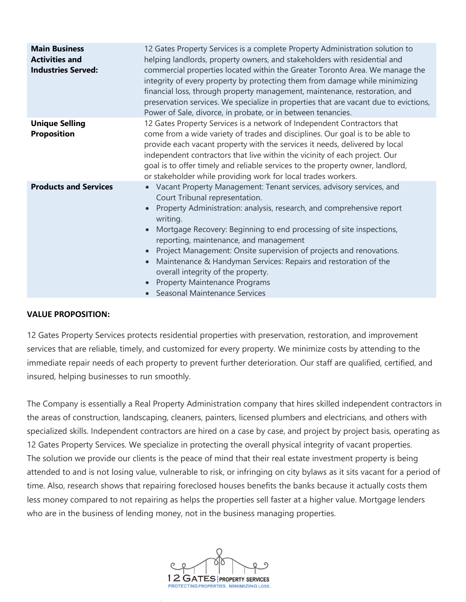| <b>Main Business</b><br><b>Activities and</b><br><b>Industries Served:</b> | 12 Gates Property Services is a complete Property Administration solution to<br>helping landlords, property owners, and stakeholders with residential and<br>commercial properties located within the Greater Toronto Area. We manage the<br>integrity of every property by protecting them from damage while minimizing<br>financial loss, through property management, maintenance, restoration, and<br>preservation services. We specialize in properties that are vacant due to evictions,<br>Power of Sale, divorce, in probate, or in between tenancies.         |
|----------------------------------------------------------------------------|------------------------------------------------------------------------------------------------------------------------------------------------------------------------------------------------------------------------------------------------------------------------------------------------------------------------------------------------------------------------------------------------------------------------------------------------------------------------------------------------------------------------------------------------------------------------|
| <b>Unique Selling</b><br><b>Proposition</b>                                | 12 Gates Property Services is a network of Independent Contractors that<br>come from a wide variety of trades and disciplines. Our goal is to be able to<br>provide each vacant property with the services it needs, delivered by local<br>independent contractors that live within the vicinity of each project. Our<br>goal is to offer timely and reliable services to the property owner, landlord,<br>or stakeholder while providing work for local trades workers.                                                                                               |
| <b>Products and Services</b>                                               | • Vacant Property Management: Tenant services, advisory services, and<br>Court Tribunal representation.<br>Property Administration: analysis, research, and comprehensive report<br>writing.<br>Mortgage Recovery: Beginning to end processing of site inspections,<br>reporting, maintenance, and management<br>Project Management: Onsite supervision of projects and renovations.<br>Maintenance & Handyman Services: Repairs and restoration of the<br>overall integrity of the property.<br><b>Property Maintenance Programs</b><br>Seasonal Maintenance Services |

#### **VALUE PROPOSITION:**

12 Gates Property Services protects residential properties with preservation, restoration, and improvement services that are reliable, timely, and customized for every property. We minimize costs by attending to the immediate repair needs of each property to prevent further deterioration. Our staff are qualified, certified, and insured, helping businesses to run smoothly.

The Company is essentially a Real Property Administration company that hires skilled independent contractors in the areas of construction, landscaping, cleaners, painters, licensed plumbers and electricians, and others with specialized skills. Independent contractors are hired on a case by case, and project by project basis, operating as 12 Gates Property Services. We specialize in protecting the overall physical integrity of vacant properties. The solution we provide our clients is the peace of mind that their real estate investment property is being attended to and is not losing value, vulnerable to risk, or infringing on city bylaws as it sits vacant for a period of time. Also, research shows that repairing foreclosed houses benefits the banks because it actually costs them less money compared to not repairing as helps the properties sell faster at a higher value. Mortgage lenders who are in the business of lending money, not in the business managing properties.